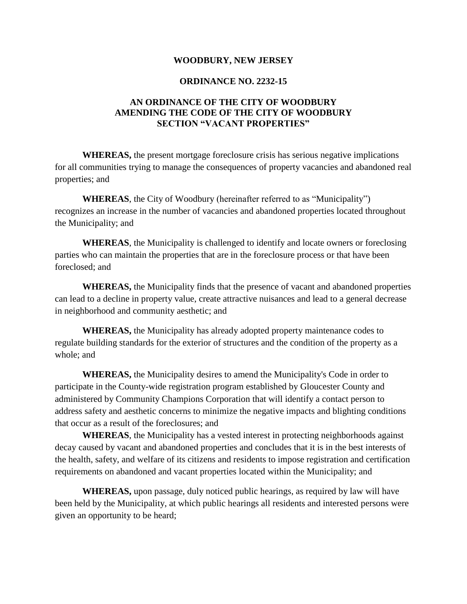#### **WOODBURY, NEW JERSEY**

#### **ORDINANCE NO. 2232-15**

#### **AN ORDINANCE OF THE CITY OF WOODBURY AMENDING THE CODE OF THE CITY OF WOODBURY SECTION "VACANT PROPERTIES"**

**WHEREAS,** the present mortgage foreclosure crisis has serious negative implications for all communities trying to manage the consequences of property vacancies and abandoned real properties; and

**WHEREAS**, the City of Woodbury (hereinafter referred to as "Municipality") recognizes an increase in the number of vacancies and abandoned properties located throughout the Municipality; and

**WHEREAS**, the Municipality is challenged to identify and locate owners or foreclosing parties who can maintain the properties that are in the foreclosure process or that have been foreclosed; and

**WHEREAS,** the Municipality finds that the presence of vacant and abandoned properties can lead to a decline in property value, create attractive nuisances and lead to a general decrease in neighborhood and community aesthetic; and

**WHEREAS,** the Municipality has already adopted property maintenance codes to regulate building standards for the exterior of structures and the condition of the property as a whole; and

**WHEREAS,** the Municipality desires to amend the Municipality's Code in order to participate in the County-wide registration program established by Gloucester County and administered by Community Champions Corporation that will identify a contact person to address safety and aesthetic concerns to minimize the negative impacts and blighting conditions that occur as a result of the foreclosures; and

**WHEREAS**, the Municipality has a vested interest in protecting neighborhoods against decay caused by vacant and abandoned properties and concludes that it is in the best interests of the health, safety, and welfare of its citizens and residents to impose registration and certification requirements on abandoned and vacant properties located within the Municipality; and

**WHEREAS,** upon passage, duly noticed public hearings, as required by law will have been held by the Municipality, at which public hearings all residents and interested persons were given an opportunity to be heard;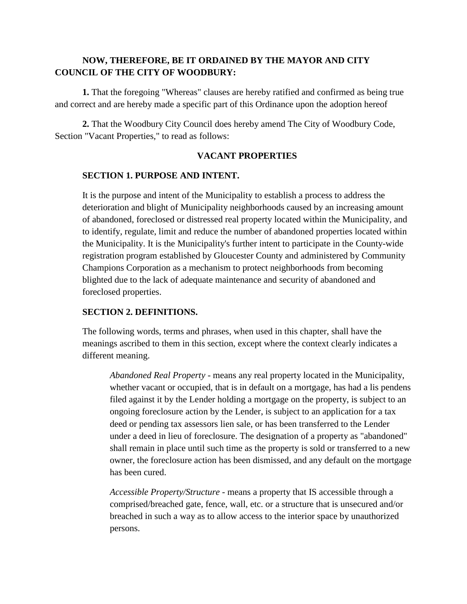### **NOW, THEREFORE, BE IT ORDAINED BY THE MAYOR AND CITY COUNCIL OF THE CITY OF WOODBURY:**

**1.** That the foregoing "Whereas" clauses are hereby ratified and confirmed as being true and correct and are hereby made a specific part of this Ordinance upon the adoption hereof

**2.** That the Woodbury City Council does hereby amend The City of Woodbury Code, Section "Vacant Properties," to read as follows:

#### **VACANT PROPERTIES**

#### **SECTION 1. PURPOSE AND INTENT.**

It is the purpose and intent of the Municipality to establish a process to address the deterioration and blight of Municipality neighborhoods caused by an increasing amount of abandoned, foreclosed or distressed real property located within the Municipality, and to identify, regulate, limit and reduce the number of abandoned properties located within the Municipality. It is the Municipality's further intent to participate in the County-wide registration program established by Gloucester County and administered by Community Champions Corporation as a mechanism to protect neighborhoods from becoming blighted due to the lack of adequate maintenance and security of abandoned and foreclosed properties.

#### **SECTION 2. DEFINITIONS.**

The following words, terms and phrases, when used in this chapter, shall have the meanings ascribed to them in this section, except where the context clearly indicates a different meaning.

*Abandoned Real Property* - means any real property located in the Municipality, whether vacant or occupied, that is in default on a mortgage, has had a lis pendens filed against it by the Lender holding a mortgage on the property, is subject to an ongoing foreclosure action by the Lender, is subject to an application for a tax deed or pending tax assessors lien sale, or has been transferred to the Lender under a deed in lieu of foreclosure. The designation of a property as "abandoned" shall remain in place until such time as the property is sold or transferred to a new owner, the foreclosure action has been dismissed, and any default on the mortgage has been cured.

*Accessible Property/Structure* - means a property that IS accessible through a comprised/breached gate, fence, wall, etc. or a structure that is unsecured and/or breached in such a way as to allow access to the interior space by unauthorized persons.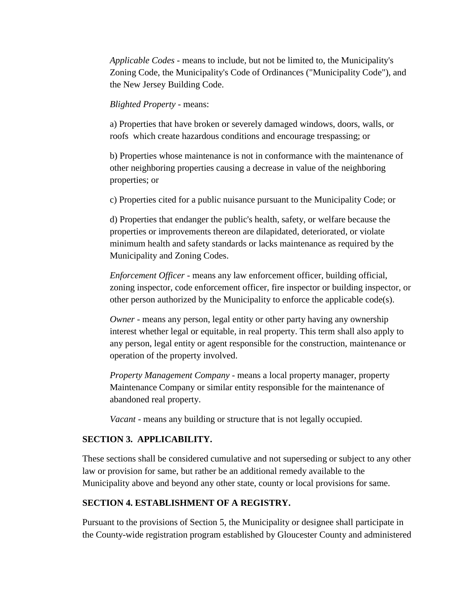*Applicable Codes* - means to include, but not be limited to, the Municipality's Zoning Code, the Municipality's Code of Ordinances ("Municipality Code"), and the New Jersey Building Code.

#### *Blighted Property* - means:

a) Properties that have broken or severely damaged windows, doors, walls, or roofs which create hazardous conditions and encourage trespassing; or

b) Properties whose maintenance is not in conformance with the maintenance of other neighboring properties causing a decrease in value of the neighboring properties; or

c) Properties cited for a public nuisance pursuant to the Municipality Code; or

d) Properties that endanger the public's health, safety, or welfare because the properties or improvements thereon are dilapidated, deteriorated, or violate minimum health and safety standards or lacks maintenance as required by the Municipality and Zoning Codes.

*Enforcement Officer* - means any law enforcement officer, building official, zoning inspector, code enforcement officer, fire inspector or building inspector, or other person authorized by the Municipality to enforce the applicable code(s).

*Owner* - means any person, legal entity or other party having any ownership interest whether legal or equitable, in real property. This term shall also apply to any person, legal entity or agent responsible for the construction, maintenance or operation of the property involved.

*Property Management Company* - means a local property manager, property Maintenance Company or similar entity responsible for the maintenance of abandoned real property.

*Vacant* - means any building or structure that is not legally occupied.

#### **SECTION 3. APPLICABILITY.**

These sections shall be considered cumulative and not superseding or subject to any other law or provision for same, but rather be an additional remedy available to the Municipality above and beyond any other state, county or local provisions for same.

#### **SECTION 4. ESTABLISHMENT OF A REGISTRY.**

Pursuant to the provisions of Section 5, the Municipality or designee shall participate in the County-wide registration program established by Gloucester County and administered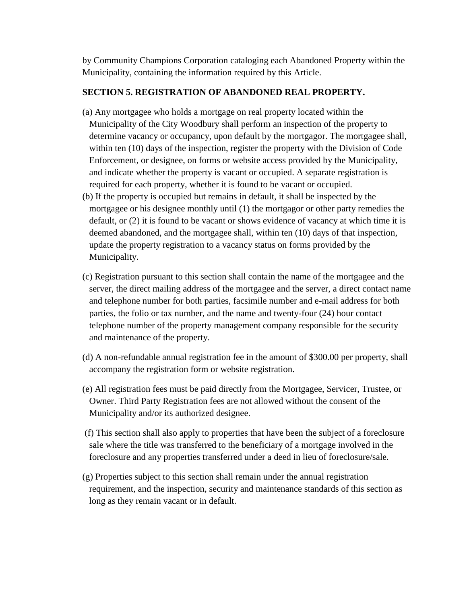by Community Champions Corporation cataloging each Abandoned Property within the Municipality, containing the information required by this Article.

### **SECTION 5. REGISTRATION OF ABANDONED REAL PROPERTY.**

- (a) Any mortgagee who holds a mortgage on real property located within the Municipality of the City Woodbury shall perform an inspection of the property to determine vacancy or occupancy, upon default by the mortgagor. The mortgagee shall, within ten (10) days of the inspection, register the property with the Division of Code Enforcement, or designee, on forms or website access provided by the Municipality, and indicate whether the property is vacant or occupied. A separate registration is required for each property, whether it is found to be vacant or occupied.
- (b) If the property is occupied but remains in default, it shall be inspected by the mortgagee or his designee monthly until (1) the mortgagor or other party remedies the default, or (2) it is found to be vacant or shows evidence of vacancy at which time it is deemed abandoned, and the mortgagee shall, within ten (10) days of that inspection, update the property registration to a vacancy status on forms provided by the Municipality.
- (c) Registration pursuant to this section shall contain the name of the mortgagee and the server, the direct mailing address of the mortgagee and the server, a direct contact name and telephone number for both parties, facsimile number and e-mail address for both parties, the folio or tax number, and the name and twenty-four (24) hour contact telephone number of the property management company responsible for the security and maintenance of the property.
- (d) A non-refundable annual registration fee in the amount of \$300.00 per property, shall accompany the registration form or website registration.
- (e) All registration fees must be paid directly from the Mortgagee, Servicer, Trustee, or Owner. Third Party Registration fees are not allowed without the consent of the Municipality and/or its authorized designee.
- (f) This section shall also apply to properties that have been the subject of a foreclosure sale where the title was transferred to the beneficiary of a mortgage involved in the foreclosure and any properties transferred under a deed in lieu of foreclosure/sale.
- (g) Properties subject to this section shall remain under the annual registration requirement, and the inspection, security and maintenance standards of this section as long as they remain vacant or in default.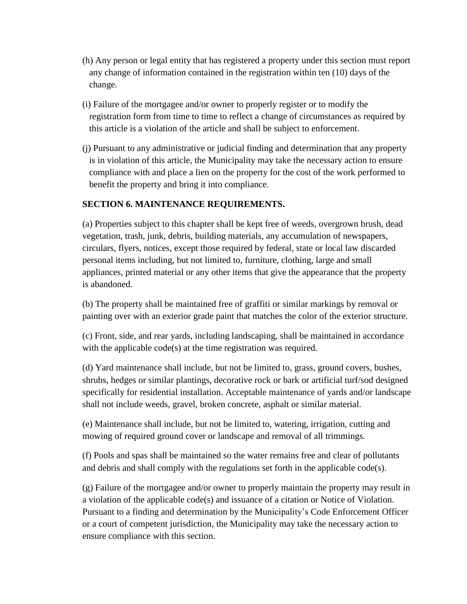- (h) Any person or legal entity that has registered a property under this section must report any change of information contained in the registration within ten (10) days of the change.
- (i) Failure of the mortgagee and/or owner to properly register or to modify the registration form from time to time to reflect a change of circumstances as required by this article is a violation of the article and shall be subject to enforcement.
- (j) Pursuant to any administrative or judicial finding and determination that any property is in violation of this article, the Municipality may take the necessary action to ensure compliance with and place a lien on the property for the cost of the work performed to benefit the property and bring it into compliance.

#### **SECTION 6. MAINTENANCE REQUIREMENTS.**

(a) Properties subject to this chapter shall be kept free of weeds, overgrown brush, dead vegetation, trash, junk, debris, building materials, any accumulation of newspapers, circulars, flyers, notices, except those required by federal, state or local law discarded personal items including, but not limited to, furniture, clothing, large and small appliances, printed material or any other items that give the appearance that the property is abandoned.

(b) The property shall be maintained free of graffiti or similar markings by removal or painting over with an exterior grade paint that matches the color of the exterior structure.

(c) Front, side, and rear yards, including landscaping, shall be maintained in accordance with the applicable code(s) at the time registration was required.

(d) Yard maintenance shall include, but not be limited to, grass, ground covers, bushes, shrubs, hedges or similar plantings, decorative rock or bark or artificial turf/sod designed specifically for residential installation. Acceptable maintenance of yards and/or landscape shall not include weeds, gravel, broken concrete, asphalt or similar material.

(e) Maintenance shall include, but not be limited to, watering, irrigation, cutting and mowing of required ground cover or landscape and removal of all trimmings.

(f) Pools and spas shall be maintained so the water remains free and clear of pollutants and debris and shall comply with the regulations set forth in the applicable code(s).

(g) Failure of the mortgagee and/or owner to properly maintain the property may result in a violation of the applicable code(s) and issuance of a citation or Notice of Violation. Pursuant to a finding and determination by the Municipality's Code Enforcement Officer or a court of competent jurisdiction, the Municipality may take the necessary action to ensure compliance with this section.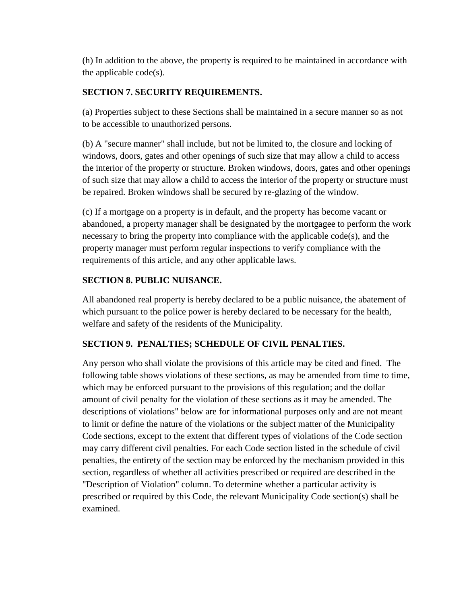(h) In addition to the above, the property is required to be maintained in accordance with the applicable code(s).

# **SECTION 7. SECURITY REQUIREMENTS.**

(a) Properties subject to these Sections shall be maintained in a secure manner so as not to be accessible to unauthorized persons.

(b) A "secure manner" shall include, but not be limited to, the closure and locking of windows, doors, gates and other openings of such size that may allow a child to access the interior of the property or structure. Broken windows, doors, gates and other openings of such size that may allow a child to access the interior of the property or structure must be repaired. Broken windows shall be secured by re-glazing of the window.

(c) If a mortgage on a property is in default, and the property has become vacant or abandoned, a property manager shall be designated by the mortgagee to perform the work necessary to bring the property into compliance with the applicable code(s), and the property manager must perform regular inspections to verify compliance with the requirements of this article, and any other applicable laws.

# **SECTION 8. PUBLIC NUISANCE.**

All abandoned real property is hereby declared to be a public nuisance, the abatement of which pursuant to the police power is hereby declared to be necessary for the health, welfare and safety of the residents of the Municipality.

# **SECTION 9. PENALTIES; SCHEDULE OF CIVIL PENALTIES.**

Any person who shall violate the provisions of this article may be cited and fined. The following table shows violations of these sections, as may be amended from time to time, which may be enforced pursuant to the provisions of this regulation; and the dollar amount of civil penalty for the violation of these sections as it may be amended. The descriptions of violations" below are for informational purposes only and are not meant to limit or define the nature of the violations or the subject matter of the Municipality Code sections, except to the extent that different types of violations of the Code section may carry different civil penalties. For each Code section listed in the schedule of civil penalties, the entirety of the section may be enforced by the mechanism provided in this section, regardless of whether all activities prescribed or required are described in the "Description of Violation" column. To determine whether a particular activity is prescribed or required by this Code, the relevant Municipality Code section(s) shall be examined.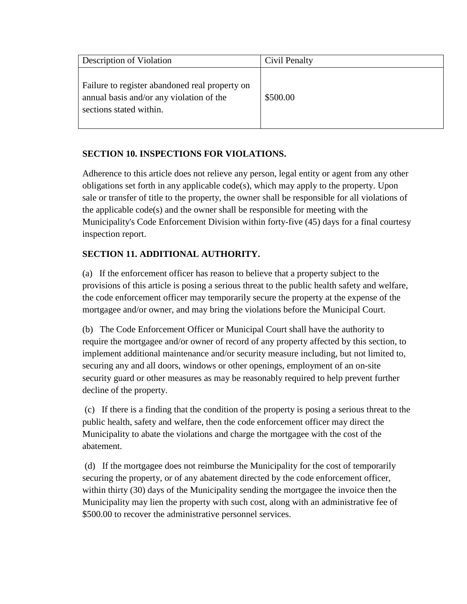| Description of Violation                                                                                              | Civil Penalty |
|-----------------------------------------------------------------------------------------------------------------------|---------------|
| Failure to register abandoned real property on<br>annual basis and/or any violation of the<br>sections stated within. | \$500.00      |

### **SECTION 10. INSPECTIONS FOR VIOLATIONS.**

Adherence to this article does not relieve any person, legal entity or agent from any other obligations set forth in any applicable code(s), which may apply to the property. Upon sale or transfer of title to the property, the owner shall be responsible for all violations of the applicable code(s) and the owner shall be responsible for meeting with the Municipality's Code Enforcement Division within forty-five (45) days for a final courtesy inspection report.

# **SECTION 11. ADDITIONAL AUTHORITY.**

(a) If the enforcement officer has reason to believe that a property subject to the provisions of this article is posing a serious threat to the public health safety and welfare, the code enforcement officer may temporarily secure the property at the expense of the mortgagee and/or owner, and may bring the violations before the Municipal Court.

(b) The Code Enforcement Officer or Municipal Court shall have the authority to require the mortgagee and/or owner of record of any property affected by this section, to implement additional maintenance and/or security measure including, but not limited to, securing any and all doors, windows or other openings, employment of an on-site security guard or other measures as may be reasonably required to help prevent further decline of the property.

(c) If there is a finding that the condition of the property is posing a serious threat to the public health, safety and welfare, then the code enforcement officer may direct the Municipality to abate the violations and charge the mortgagee with the cost of the abatement.

(d) If the mortgagee does not reimburse the Municipality for the cost of temporarily securing the property, or of any abatement directed by the code enforcement officer, within thirty (30) days of the Municipality sending the mortgagee the invoice then the Municipality may lien the property with such cost, along with an administrative fee of \$500.00 to recover the administrative personnel services.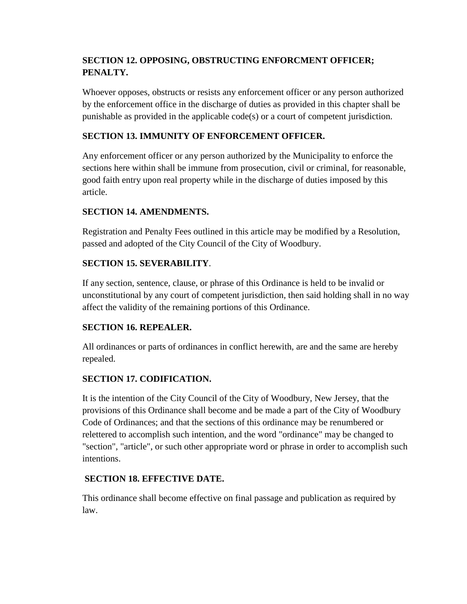# **SECTION 12. OPPOSING, OBSTRUCTING ENFORCMENT OFFICER; PENALTY.**

Whoever opposes, obstructs or resists any enforcement officer or any person authorized by the enforcement office in the discharge of duties as provided in this chapter shall be punishable as provided in the applicable code(s) or a court of competent jurisdiction.

## **SECTION 13. IMMUNITY OF ENFORCEMENT OFFICER.**

Any enforcement officer or any person authorized by the Municipality to enforce the sections here within shall be immune from prosecution, civil or criminal, for reasonable, good faith entry upon real property while in the discharge of duties imposed by this article.

# **SECTION 14. AMENDMENTS.**

Registration and Penalty Fees outlined in this article may be modified by a Resolution, passed and adopted of the City Council of the City of Woodbury.

# **SECTION 15. SEVERABILITY**.

If any section, sentence, clause, or phrase of this Ordinance is held to be invalid or unconstitutional by any court of competent jurisdiction, then said holding shall in no way affect the validity of the remaining portions of this Ordinance.

## **SECTION 16. REPEALER.**

All ordinances or parts of ordinances in conflict herewith, are and the same are hereby repealed.

## **SECTION 17. CODIFICATION.**

It is the intention of the City Council of the City of Woodbury, New Jersey, that the provisions of this Ordinance shall become and be made a part of the City of Woodbury Code of Ordinances; and that the sections of this ordinance may be renumbered or relettered to accomplish such intention, and the word "ordinance" may be changed to "section", "article", or such other appropriate word or phrase in order to accomplish such intentions.

## **SECTION 18. EFFECTIVE DATE.**

This ordinance shall become effective on final passage and publication as required by law.